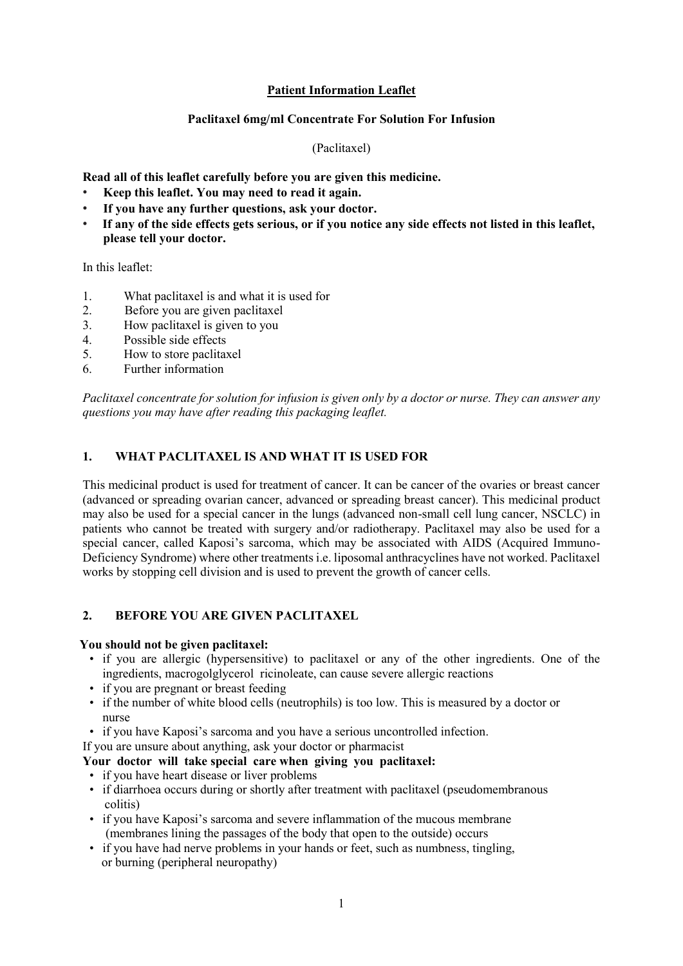# **Patient Information Leaflet**

## **Paclitaxel 6mg/ml Concentrate For Solution For Infusion**

## (Paclitaxel)

**Read all of this leaflet carefully before you are given this medicine.**

- **Keep this leaflet. You may need to read it again.**
- **If you have any further questions, ask your doctor.**
- **If any of the side effects gets serious, or if you notice any side effects not listed in this leaflet, please tell your doctor.**

In this leaflet:

- 1. What paclitaxel is and what it is used for
- 2. Before you are given paclitaxel
- 3. How paclitaxel is given to you
- 4. Possible side effects
- 5. How to store paclitaxel
- 6. Further information

*Paclitaxel concentrate for solution for infusion is given only by a doctor or nurse. They can answer any questions you may have after reading this packaging leaflet.* 

# **1. WHAT PACLITAXEL IS AND WHAT IT IS USED FOR**

This medicinal product is used for treatment of cancer. It can be cancer of the ovaries or breast cancer (advanced or spreading ovarian cancer, advanced or spreading breast cancer). This medicinal product may also be used for a special cancer in the lungs (advanced non-small cell lung cancer, NSCLC) in patients who cannot be treated with surgery and/or radiotherapy. Paclitaxel may also be used for a special cancer, called Kaposi's sarcoma, which may be associated with AIDS (Acquired Immuno-Deficiency Syndrome) where other treatments i.e. liposomal anthracyclines have not worked. Paclitaxel works by stopping cell division and is used to prevent the growth of cancer cells.

# **2. BEFORE YOU ARE GIVEN PACLITAXEL**

#### **You should not be given paclitaxel:**

- if you are allergic (hypersensitive) to paclitaxel or any of the other ingredients. One of the ingredients, macrogolglycerol ricinoleate, can cause severe allergic reactions
- if you are pregnant or breast feeding
- if the number of white blood cells (neutrophils) is too low. This is measured by a doctor or nurse
- if you have Kaposi's sarcoma and you have a serious uncontrolled infection.

If you are unsure about anything, ask your doctor or pharmacist

# **Your doctor will take special care when giving you paclitaxel:**

- if you have heart disease or liver problems
- if diarrhoea occurs during or shortly after treatment with paclitaxel (pseudomembranous colitis)
- if you have Kaposi's sarcoma and severe inflammation of the mucous membrane (membranes lining the passages of the body that open to the outside) occurs
- if you have had nerve problems in your hands or feet, such as numbness, tingling, or burning (peripheral neuropathy)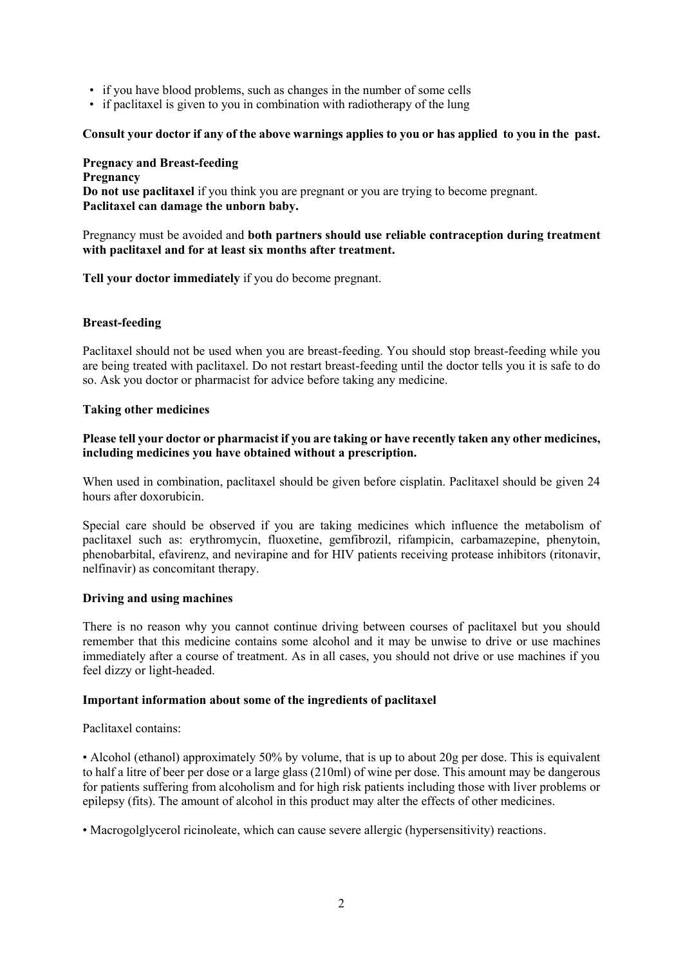- if you have blood problems, such as changes in the number of some cells
- if paclitaxel is given to you in combination with radiotherapy of the lung

#### **Consult your doctor if any of the above warnings applies to you or has applied to you in the past.**

#### **Pregnacy and Breast-feeding Pregnancy Do not use paclitaxel** if you think you are pregnant or you are trying to become pregnant. **Paclitaxel can damage the unborn baby.**

#### Pregnancy must be avoided and **both partners should use reliable contraception during treatment with paclitaxel and for at least six months after treatment.**

**Tell your doctor immediately** if you do become pregnant.

## **Breast-feeding**

Paclitaxel should not be used when you are breast-feeding. You should stop breast-feeding while you are being treated with paclitaxel. Do not restart breast-feeding until the doctor tells you it is safe to do so. Ask you doctor or pharmacist for advice before taking any medicine.

#### **Taking other medicines**

#### **Please tell your doctor or pharmacist if you are taking or have recently taken any other medicines, including medicines you have obtained without a prescription.**

When used in combination, paclitaxel should be given before cisplatin. Paclitaxel should be given 24 hours after doxorubicin.

Special care should be observed if you are taking medicines which influence the metabolism of paclitaxel such as: erythromycin, fluoxetine, gemfibrozil, rifampicin, carbamazepine, phenytoin, phenobarbital, efavirenz, and nevirapine and for HIV patients receiving protease inhibitors (ritonavir, nelfinavir) as concomitant therapy.

#### **Driving and using machines**

There is no reason why you cannot continue driving between courses of paclitaxel but you should remember that this medicine contains some alcohol and it may be unwise to drive or use machines immediately after a course of treatment. As in all cases, you should not drive or use machines if you feel dizzy or light-headed.

#### **Important information about some of the ingredients of paclitaxel**

Paclitaxel contains:

• Alcohol (ethanol) approximately 50% by volume, that is up to about 20g per dose. This is equivalent to half a litre of beer per dose or a large glass (210ml) of wine per dose. This amount may be dangerous for patients suffering from alcoholism and for high risk patients including those with liver problems or epilepsy (fits). The amount of alcohol in this product may alter the effects of other medicines.

• Macrogolglycerol ricinoleate, which can cause severe allergic (hypersensitivity) reactions.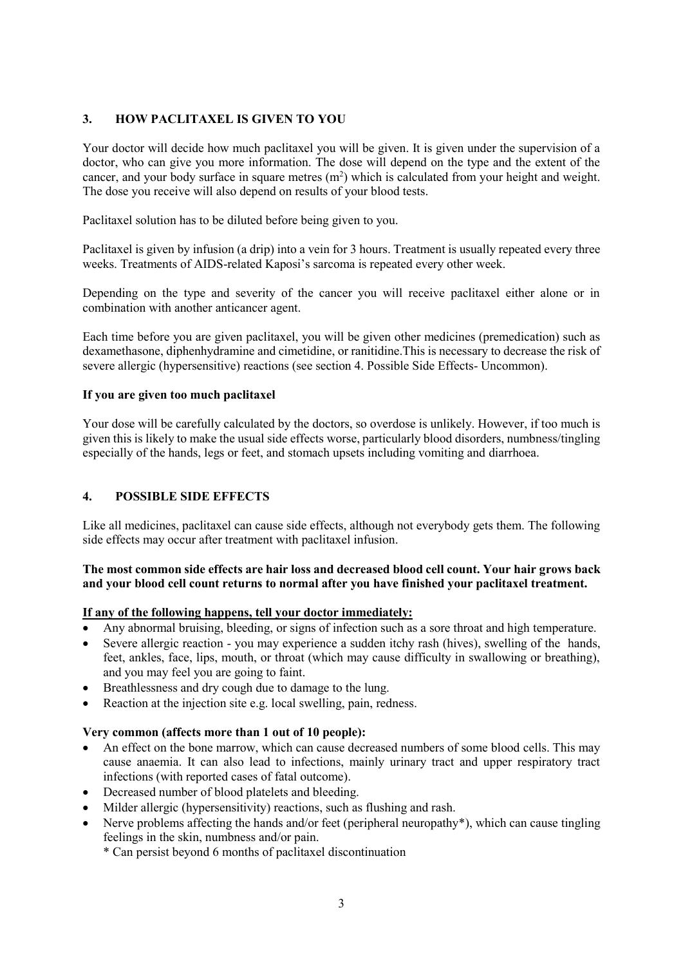# **3. HOW PACLITAXEL IS GIVEN TO YOU**

Your doctor will decide how much paclitaxel you will be given. It is given under the supervision of a doctor, who can give you more information. The dose will depend on the type and the extent of the cancer, and your body surface in square metres  $(m<sup>2</sup>)$  which is calculated from your height and weight. The dose you receive will also depend on results of your blood tests.

Paclitaxel solution has to be diluted before being given to you.

Paclitaxel is given by infusion (a drip) into a vein for 3 hours. Treatment is usually repeated every three weeks. Treatments of AIDS-related Kaposi's sarcoma is repeated every other week.

Depending on the type and severity of the cancer you will receive paclitaxel either alone or in combination with another anticancer agent.

Each time before you are given paclitaxel, you will be given other medicines (premedication) such as dexamethasone, diphenhydramine and cimetidine, or ranitidine.This is necessary to decrease the risk of severe allergic (hypersensitive) reactions (see section 4. Possible Side Effects- Uncommon).

## **If you are given too much paclitaxel**

Your dose will be carefully calculated by the doctors, so overdose is unlikely. However, if too much is given this is likely to make the usual side effects worse, particularly blood disorders, numbness/tingling especially of the hands, legs or feet, and stomach upsets including vomiting and diarrhoea.

# **4. POSSIBLE SIDE EFFECTS**

Like all medicines, paclitaxel can cause side effects, although not everybody gets them. The following side effects may occur after treatment with paclitaxel infusion.

## **The most common side effects are hair loss and decreased blood cell count. Your hair grows back and your blood cell count returns to normal after you have finished your paclitaxel treatment.**

#### **If any of the following happens, tell your doctor immediately:**

- Any abnormal bruising, bleeding, or signs of infection such as a sore throat and high temperature.
- Severe allergic reaction you may experience a sudden itchy rash (hives), swelling of the hands, feet, ankles, face, lips, mouth, or throat (which may cause difficulty in swallowing or breathing), and you may feel you are going to faint.
- Breathlessness and dry cough due to damage to the lung.
- Reaction at the injection site e.g. local swelling, pain, redness.

#### **Very common (affects more than 1 out of 10 people):**

- An effect on the bone marrow, which can cause decreased numbers of some blood cells. This may cause anaemia. It can also lead to infections, mainly urinary tract and upper respiratory tract infections (with reported cases of fatal outcome).
- Decreased number of blood platelets and bleeding.
- Milder allergic (hypersensitivity) reactions, such as flushing and rash.
- Nerve problems affecting the hands and/or feet (peripheral neuropathy\*), which can cause tingling feelings in the skin, numbness and/or pain.

\* Can persist beyond 6 months of paclitaxel discontinuation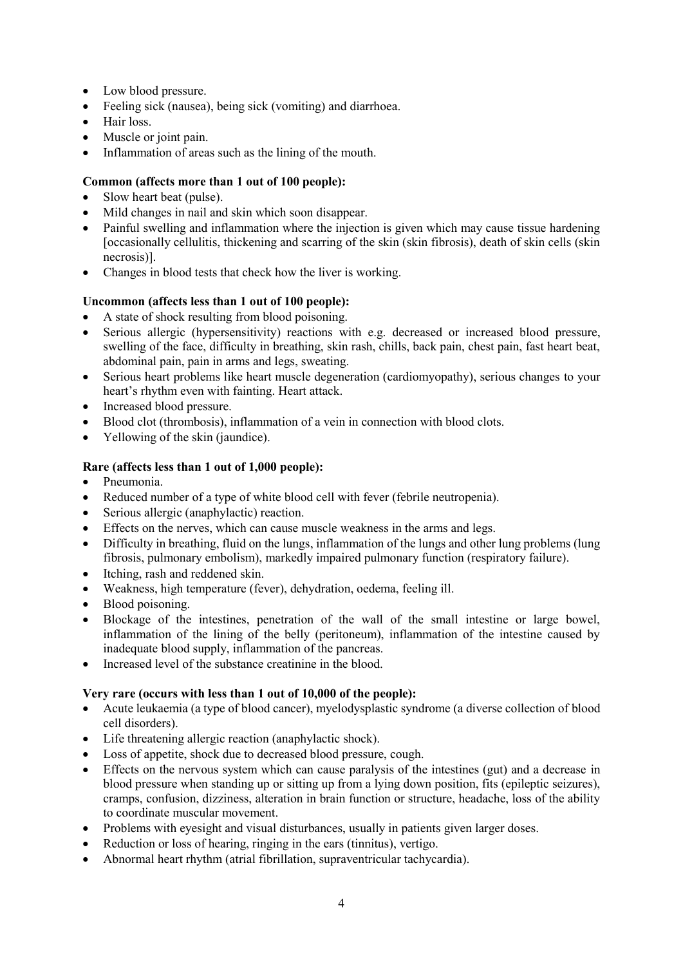- Low blood pressure.
- Feeling sick (nausea), being sick (vomiting) and diarrhoea.
- Hair loss.
- Muscle or joint pain.
- Inflammation of areas such as the lining of the mouth.

# **Common (affects more than 1 out of 100 people):**

- Slow heart beat (pulse).
- Mild changes in nail and skin which soon disappear.
- Painful swelling and inflammation where the injection is given which may cause tissue hardening [occasionally cellulitis, thickening and scarring of the skin (skin fibrosis), death of skin cells (skin necrosis)].
- Changes in blood tests that check how the liver is working.

# **Uncommon (affects less than 1 out of 100 people):**

- A state of shock resulting from blood poisoning.
- Serious allergic (hypersensitivity) reactions with e.g. decreased or increased blood pressure, swelling of the face, difficulty in breathing, skin rash, chills, back pain, chest pain, fast heart beat, abdominal pain, pain in arms and legs, sweating.
- Serious heart problems like heart muscle degeneration (cardiomyopathy), serious changes to your heart's rhythm even with fainting. Heart attack.
- Increased blood pressure.
- Blood clot (thrombosis), inflammation of a vein in connection with blood clots.
- Yellowing of the skin (jaundice).

# **Rare (affects less than 1 out of 1,000 people):**

- Pneumonia.
- Reduced number of a type of white blood cell with fever (febrile neutropenia).
- Serious allergic (anaphylactic) reaction.
- Effects on the nerves, which can cause muscle weakness in the arms and legs.
- Difficulty in breathing, fluid on the lungs, inflammation of the lungs and other lung problems (lung fibrosis, pulmonary embolism), markedly impaired pulmonary function (respiratory failure).
- Itching, rash and reddened skin.
- Weakness, high temperature (fever), dehydration, oedema, feeling ill.
- Blood poisoning.
- Blockage of the intestines, penetration of the wall of the small intestine or large bowel, inflammation of the lining of the belly (peritoneum), inflammation of the intestine caused by inadequate blood supply, inflammation of the pancreas.
- Increased level of the substance creatinine in the blood.

# **Very rare (occurs with less than 1 out of 10,000 of the people):**

- Acute leukaemia (a type of blood cancer), myelodysplastic syndrome (a diverse collection of blood cell disorders).
- Life threatening allergic reaction (anaphylactic shock).
- Loss of appetite, shock due to decreased blood pressure, cough.
- Effects on the nervous system which can cause paralysis of the intestines (gut) and a decrease in blood pressure when standing up or sitting up from a lying down position, fits (epileptic seizures), cramps, confusion, dizziness, alteration in brain function or structure, headache, loss of the ability to coordinate muscular movement.
- Problems with eyesight and visual disturbances, usually in patients given larger doses.
- Reduction or loss of hearing, ringing in the ears (tinnitus), vertigo.
- Abnormal heart rhythm (atrial fibrillation, supraventricular tachycardia).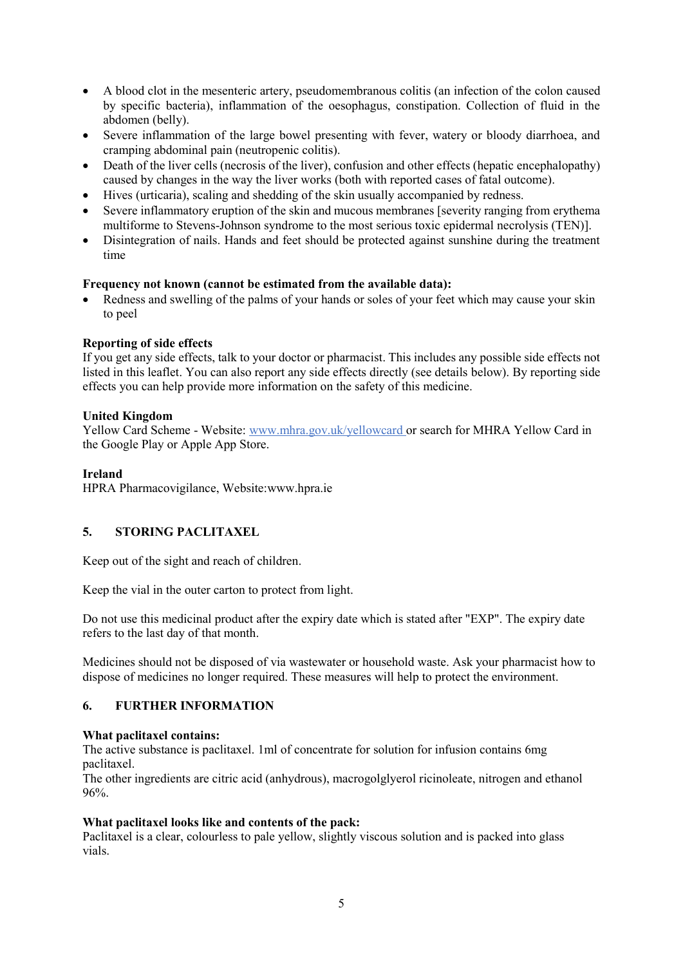- A blood clot in the mesenteric artery, pseudomembranous colitis (an infection of the colon caused by specific bacteria), inflammation of the oesophagus, constipation. Collection of fluid in the abdomen (belly).
- Severe inflammation of the large bowel presenting with fever, watery or bloody diarrhoea, and cramping abdominal pain (neutropenic colitis).
- Death of the liver cells (necrosis of the liver), confusion and other effects (hepatic encephalopathy) caused by changes in the way the liver works (both with reported cases of fatal outcome).
- Hives (urticaria), scaling and shedding of the skin usually accompanied by redness.
- Severe inflammatory eruption of the skin and mucous membranes [severity ranging from erythema multiforme to Stevens-Johnson syndrome to the most serious toxic epidermal necrolysis (TEN)].
- Disintegration of nails. Hands and feet should be protected against sunshine during the treatment time

## **Frequency not known (cannot be estimated from the available data):**

 Redness and swelling of the palms of your hands or soles of your feet which may cause your skin to peel

## **Reporting of side effects**

If you get any side effects, talk to your doctor or pharmacist. This includes any possible side effects not listed in this leaflet. You can also report any side effects directly (see details below). By reporting side effects you can help provide more information on the safety of this medicine.

## **United Kingdom**

Yellow Card Scheme - Website: www.mhra.gov.uk/yellowcard or search for MHRA Yellow Card in the Google Play or Apple App Store.

## **Ireland**

HPRA Pharmacovigilance, Website:www.hpra.ie

# **5. STORING PACLITAXEL**

Keep out of the sight and reach of children.

Keep the vial in the outer carton to protect from light.

Do not use this medicinal product after the expiry date which is stated after "EXP". The expiry date refers to the last day of that month.

Medicines should not be disposed of via wastewater or household waste. Ask your pharmacist how to dispose of medicines no longer required. These measures will help to protect the environment.

# **6. FURTHER INFORMATION**

#### **What paclitaxel contains:**

The active substance is paclitaxel. 1ml of concentrate for solution for infusion contains 6mg paclitaxel.

The other ingredients are citric acid (anhydrous), macrogolglyerol ricinoleate, nitrogen and ethanol 96%.

#### **What paclitaxel looks like and contents of the pack:**

Paclitaxel is a clear, colourless to pale yellow, slightly viscous solution and is packed into glass vials.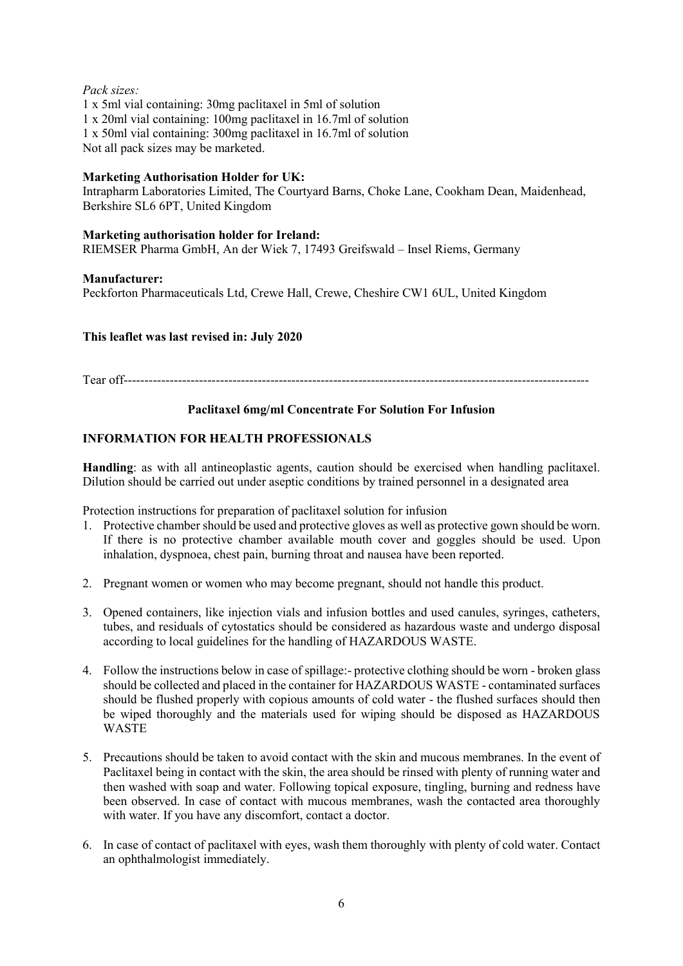# *Pack sizes:*

1 x 5ml vial containing: 30mg paclitaxel in 5ml of solution 1 x 20ml vial containing: 100mg paclitaxel in 16.7ml of solution 1 x 50ml vial containing: 300mg paclitaxel in 16.7ml of solution Not all pack sizes may be marketed.

# **Marketing Authorisation Holder for UK:**

Intrapharm Laboratories Limited, The Courtyard Barns, Choke Lane, Cookham Dean, Maidenhead, Berkshire SL6 6PT, United Kingdom

# **Marketing authorisation holder for Ireland:**

RIEMSER Pharma GmbH, An der Wiek 7, 17493 Greifswald – Insel Riems, Germany

## **Manufacturer:**

Peckforton Pharmaceuticals Ltd, Crewe Hall, Crewe, Cheshire CW1 6UL, United Kingdom

## **This leaflet was last revised in: July 2020**

Tear off---------------------------------------------------------------------------------------------------------------

# **Paclitaxel 6mg/ml Concentrate For Solution For Infusion**

# **INFORMATION FOR HEALTH PROFESSIONALS**

**Handling**: as with all antineoplastic agents, caution should be exercised when handling paclitaxel. Dilution should be carried out under aseptic conditions by trained personnel in a designated area

Protection instructions for preparation of paclitaxel solution for infusion

- 1. Protective chamber should be used and protective gloves as well as protective gown should be worn. If there is no protective chamber available mouth cover and goggles should be used. Upon inhalation, dyspnoea, chest pain, burning throat and nausea have been reported.
- 2. Pregnant women or women who may become pregnant, should not handle this product.
- 3. Opened containers, like injection vials and infusion bottles and used canules, syringes, catheters, tubes, and residuals of cytostatics should be considered as hazardous waste and undergo disposal according to local guidelines for the handling of HAZARDOUS WASTE.
- 4. Follow the instructions below in case of spillage:- protective clothing should be worn broken glass should be collected and placed in the container for HAZARDOUS WASTE - contaminated surfaces should be flushed properly with copious amounts of cold water - the flushed surfaces should then be wiped thoroughly and the materials used for wiping should be disposed as HAZARDOUS **WASTE**
- 5. Precautions should be taken to avoid contact with the skin and mucous membranes. In the event of Paclitaxel being in contact with the skin, the area should be rinsed with plenty of running water and then washed with soap and water. Following topical exposure, tingling, burning and redness have been observed. In case of contact with mucous membranes, wash the contacted area thoroughly with water. If you have any discomfort, contact a doctor.
- 6. In case of contact of paclitaxel with eyes, wash them thoroughly with plenty of cold water. Contact an ophthalmologist immediately.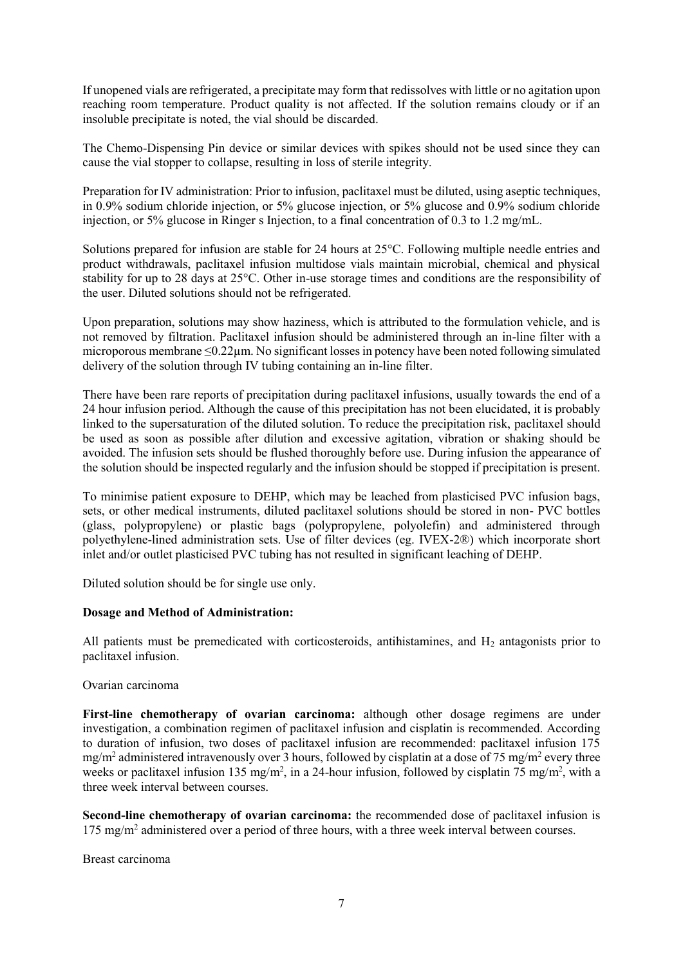If unopened vials are refrigerated, a precipitate may form that redissolves with little or no agitation upon reaching room temperature. Product quality is not affected. If the solution remains cloudy or if an insoluble precipitate is noted, the vial should be discarded.

The Chemo-Dispensing Pin device or similar devices with spikes should not be used since they can cause the vial stopper to collapse, resulting in loss of sterile integrity.

Preparation for IV administration: Prior to infusion, paclitaxel must be diluted, using aseptic techniques, in 0.9% sodium chloride injection, or 5% glucose injection, or 5% glucose and 0.9% sodium chloride injection, or 5% glucose in Ringer s Injection, to a final concentration of 0.3 to 1.2 mg/mL.

Solutions prepared for infusion are stable for 24 hours at 25°C. Following multiple needle entries and product withdrawals, paclitaxel infusion multidose vials maintain microbial, chemical and physical stability for up to 28 days at 25°C. Other in-use storage times and conditions are the responsibility of the user. Diluted solutions should not be refrigerated.

Upon preparation, solutions may show haziness, which is attributed to the formulation vehicle, and is not removed by filtration. Paclitaxel infusion should be administered through an in-line filter with a microporous membrane ≤0.22µm. No significant losses in potency have been noted following simulated delivery of the solution through IV tubing containing an in-line filter.

There have been rare reports of precipitation during paclitaxel infusions, usually towards the end of a 24 hour infusion period. Although the cause of this precipitation has not been elucidated, it is probably linked to the supersaturation of the diluted solution. To reduce the precipitation risk, paclitaxel should be used as soon as possible after dilution and excessive agitation, vibration or shaking should be avoided. The infusion sets should be flushed thoroughly before use. During infusion the appearance of the solution should be inspected regularly and the infusion should be stopped if precipitation is present.

To minimise patient exposure to DEHP, which may be leached from plasticised PVC infusion bags, sets, or other medical instruments, diluted paclitaxel solutions should be stored in non- PVC bottles (glass, polypropylene) or plastic bags (polypropylene, polyolefin) and administered through polyethylene-lined administration sets. Use of filter devices (eg. IVEX-2®) which incorporate short inlet and/or outlet plasticised PVC tubing has not resulted in significant leaching of DEHP.

Diluted solution should be for single use only.

#### **Dosage and Method of Administration:**

All patients must be premedicated with corticosteroids, antihistamines, and  $H_2$  antagonists prior to paclitaxel infusion.

#### Ovarian carcinoma

**First-line chemotherapy of ovarian carcinoma:** although other dosage regimens are under investigation, a combination regimen of paclitaxel infusion and cisplatin is recommended. According to duration of infusion, two doses of paclitaxel infusion are recommended: paclitaxel infusion 175 mg/m<sup>2</sup> administered intravenously over 3 hours, followed by cisplatin at a dose of 75 mg/m<sup>2</sup> every three weeks or paclitaxel infusion 135 mg/m<sup>2</sup>, in a 24-hour infusion, followed by cisplatin 75 mg/m<sup>2</sup>, with a three week interval between courses.

**Second-line chemotherapy of ovarian carcinoma:** the recommended dose of paclitaxel infusion is 175 mg/m<sup>2</sup> administered over a period of three hours, with a three week interval between courses.

Breast carcinoma